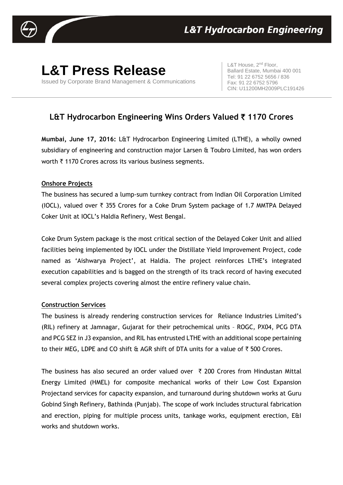

# **L&T Press Release**

Issued by Corporate Brand Management & Communications

L&T House, 2<sup>nd</sup> Floor, Ballard Estate, Mumbai 400 001 Tel: 91 22 6752 5656 / 836 Fax: 91 22 6752 5796 CIN: U11200MH2009PLC191426

# **L&T Hydrocarbon Engineering Wins Orders Valued** ` **1170 Crores**

**Mumbai, June 17, 2016:** L&T Hydrocarbon Engineering Limited (LTHE), a wholly owned subsidiary of engineering and construction major Larsen & Toubro Limited, has won orders worth  $\bar{\tau}$  1170 Crores across its various business segments.

# **Onshore Projects**

The business has secured a lump-sum turnkey contract from Indian Oil Corporation Limited (IOCL), valued over  $\overline{\tau}$  355 Crores for a Coke Drum System package of 1.7 MMTPA Delayed Coker Unit at IOCL's Haldia Refinery, West Bengal.

Coke Drum System package is the most critical section of the Delayed Coker Unit and allied facilities being implemented by IOCL under the Distillate Yield Improvement Project, code named as 'Aishwarya Project', at Haldia. The project reinforces LTHE's integrated execution capabilities and is bagged on the strength of its track record of having executed several complex projects covering almost the entire refinery value chain.

#### **Construction Services**

The business is already rendering construction services for Reliance Industries Limited's (RIL) refinery at Jamnagar, Gujarat for their petrochemical units – ROGC, PX04, PCG DTA and PCG SEZ in J3 expansion, and RIL has entrusted LTHE with an additional scope pertaining to their MEG, LDPE and CO shift  $\theta$  AGR shift of DTA units for a value of  $\bar{\tau}$  500 Crores.

The business has also secured an order valued over  $\bar{\tau}$  200 Crores from Hindustan Mittal Energy Limited (HMEL) for composite mechanical works of their Low Cost Expansion Projectand services for capacity expansion, and turnaround during shutdown works at Guru Gobind Singh Refinery, Bathinda (Punjab). The scope of work includes structural fabrication and erection, piping for multiple process units, tankage works, equipment erection, E&I works and shutdown works.